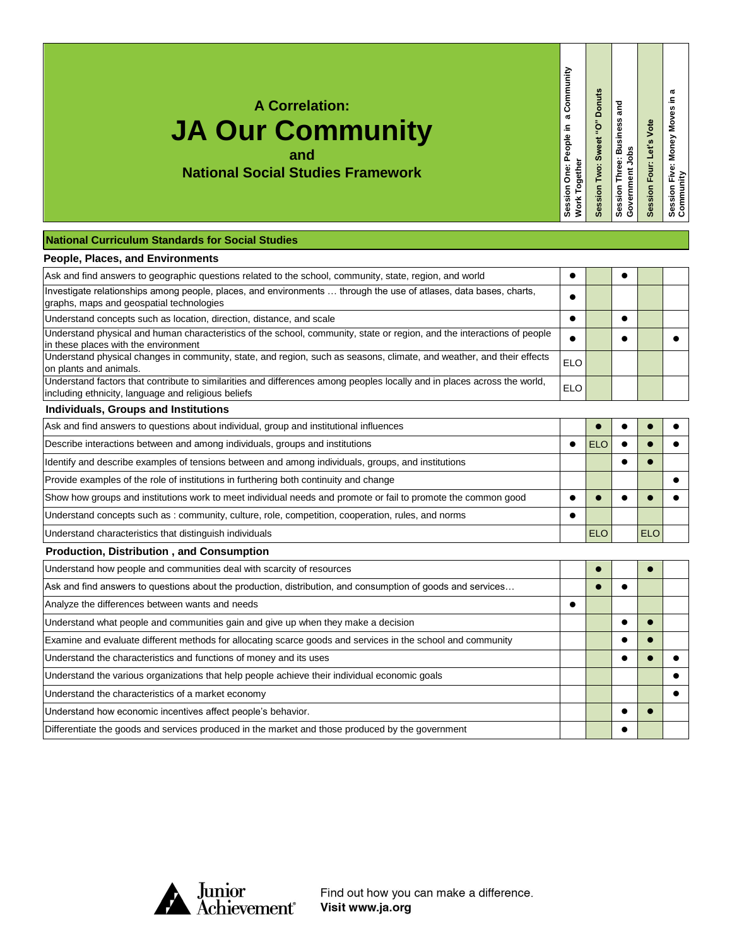**A Correlation:**

## **JA Our Community and**

**National Social Studies Framework**

**National Curriculum Standards for Social Studies**

## **People, Places, and Environments**

| Ask and find answers to geographic questions related to the school, community, state, region, and world                                                                         |            |            |            |  |
|---------------------------------------------------------------------------------------------------------------------------------------------------------------------------------|------------|------------|------------|--|
| Investigate relationships among people, places, and environments  through the use of atlases, data bases, charts,                                                               |            |            |            |  |
| graphs, maps and geospatial technologies                                                                                                                                        |            |            |            |  |
| Understand concepts such as location, direction, distance, and scale                                                                                                            |            |            |            |  |
| Understand physical and human characteristics of the school, community, state or region, and the interactions of people<br>in these places with the environment                 | $\bullet$  |            |            |  |
| Understand physical changes in community, state, and region, such as seasons, climate, and weather, and their effects<br>on plants and animals.                                 | <b>ELO</b> |            |            |  |
| Understand factors that contribute to similarities and differences among peoples locally and in places across the world,<br>including ethnicity, language and religious beliefs | <b>ELO</b> |            |            |  |
| Individuals, Groups and Institutions                                                                                                                                            |            |            |            |  |
| Ask and find answers to questions about individual, group and institutional influences                                                                                          |            |            |            |  |
| Describe interactions between and among individuals, groups and institutions                                                                                                    | $\bullet$  | <b>ELO</b> |            |  |
| Identify and describe examples of tensions between and among individuals, groups, and institutions                                                                              |            |            |            |  |
| Provide examples of the role of institutions in furthering both continuity and change                                                                                           |            |            |            |  |
| Show how groups and institutions work to meet individual needs and promote or fail to promote the common good                                                                   |            |            |            |  |
| Understand concepts such as: community, culture, role, competition, cooperation, rules, and norms                                                                               |            |            |            |  |
| Understand characteristics that distinguish individuals                                                                                                                         |            | <b>ELO</b> | <b>ELO</b> |  |
| <b>Production, Distribution, and Consumption</b>                                                                                                                                |            |            |            |  |
| Understand how people and communities deal with scarcity of resources                                                                                                           |            |            |            |  |
| Ask and find answers to questions about the production, distribution, and consumption of goods and services                                                                     |            |            |            |  |
| Analyze the differences between wants and needs                                                                                                                                 |            |            |            |  |
| Understand what people and communities gain and give up when they make a decision                                                                                               |            |            |            |  |
|                                                                                                                                                                                 |            |            |            |  |

**Session One: People in a Community** 

Session One: People in a Community<br>Work Together

**Work Together**

**Session Two: Sweet "O" Donuts Session Three: Business and** 

Session Two: Sweet "O" Donuts

**Government Jobs**

Session Three: Business and<br>Government Jobs

**Session Four: Let's Vote**

Session Four: Let's Vote

**Session Five: Money Moves in a**  Session Five: Money Moves in a<br>Community

Examine and evaluate different methods for allocating scarce goods and services in the school and community Understand the characteristics and functions of money and its uses **the contract of the contract of the contract** of the contract of the contract of the contract of the contract of the contract of the contract of the contr Understand the various organizations that help people achieve their individual economic goals **Democration and Tennis** Understand the characteristics of a market economy **of the conomic conomic conomic conomic conomic conomic conom** Understand how economic incentives affect people's behavior. Differentiate the goods and services produced in the market and those produced by the government



Find out how you can make a difference. Visit www.ja.org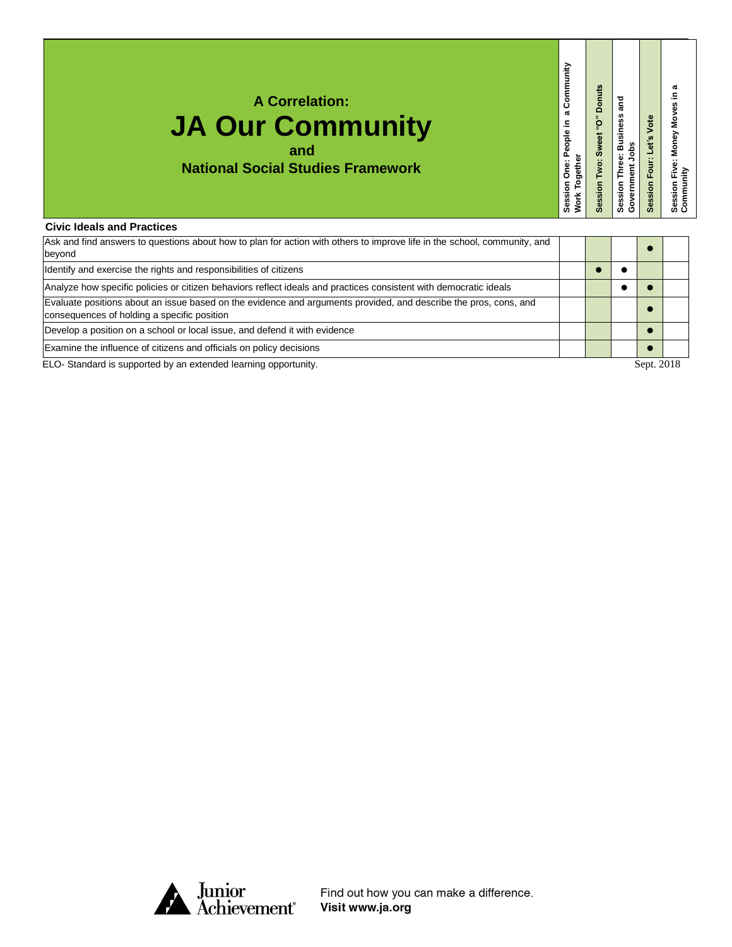| <b>A Correlation:</b><br><b>JA Our Community</b><br>and<br><b>National Social Studies Framework</b>                     | Community<br>$\boldsymbol{\varpi}$<br>Session One: People in<br><b>Nork Together</b> | <b>Donuts</b><br>ű,<br>Sweet<br>Session | and<br><b>Session Three: Business</b><br>obs<br>Government | Vote<br>et's<br>Four:<br>Session | .<br>Ei⊻<br>Session Five<br>Community |
|-------------------------------------------------------------------------------------------------------------------------|--------------------------------------------------------------------------------------|-----------------------------------------|------------------------------------------------------------|----------------------------------|---------------------------------------|
| <b>Civic Ideals and Practices</b>                                                                                       |                                                                                      |                                         |                                                            |                                  |                                       |
| Ask and find answers to questions about how to plan for action with others to improve life in the school, community and |                                                                                      |                                         |                                                            |                                  |                                       |

| Ask and find answers to questions about how to plan for action with others to improve life in the school, community, and<br>bevond                              |  |        |  |
|-----------------------------------------------------------------------------------------------------------------------------------------------------------------|--|--------|--|
| Identify and exercise the rights and responsibilities of citizens                                                                                               |  |        |  |
| Analyze how specific policies or citizen behaviors reflect ideals and practices consistent with democratic ideals                                               |  |        |  |
| Evaluate positions about an issue based on the evidence and arguments provided, and describe the pros, cons, and<br>consequences of holding a specific position |  |        |  |
| Develop a position on a school or local issue, and defend it with evidence                                                                                      |  |        |  |
| Examine the influence of citizens and officials on policy decisions                                                                                             |  |        |  |
| $\blacksquare$ . One of the distribution of the distribution of the distribution of the contract of the $\ell$                                                  |  | 0.0010 |  |

ELO- Standard is supported by an extended learning opportunity. The state of the standard is supported by an extended learning opportunity.



Find out how you can make a difference.<br>Visit www.ja.org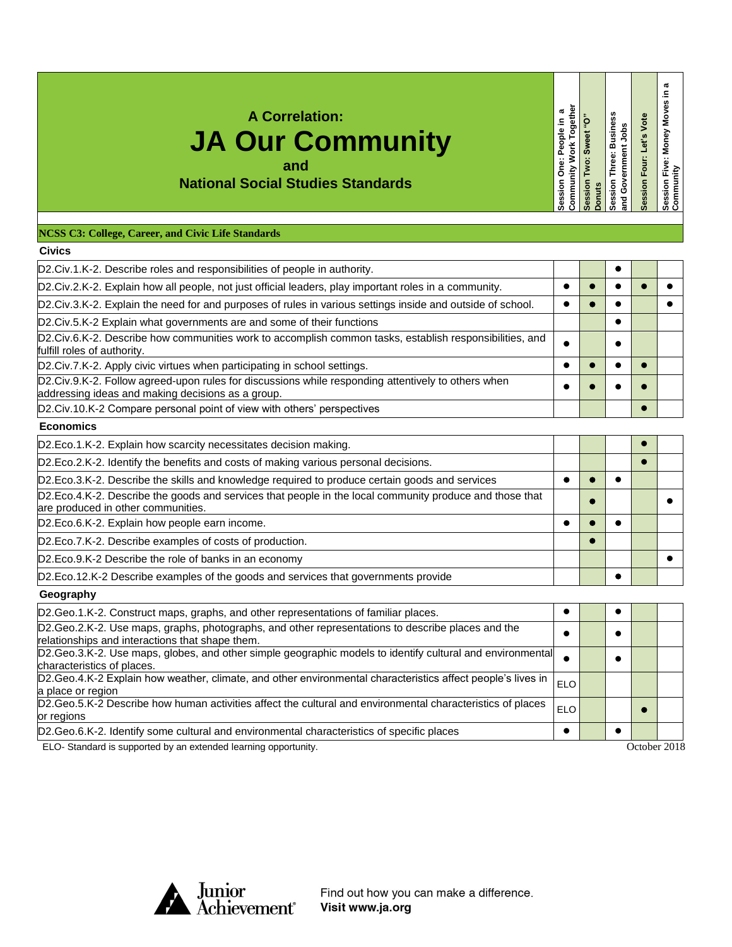| <b>A Correlation:</b><br><b>JA Our Community</b><br><b>National Social Studies Standards</b>                                                            | Community Work Togethe<br>æ<br>Session One: People in | Session Two: Sweet "O"<br><b>Donuts</b> | Session Three: Business<br>Government Jobs<br>ang | Session Four: Let's Vote | Session Five: Money Moves in a<br>Community |
|---------------------------------------------------------------------------------------------------------------------------------------------------------|-------------------------------------------------------|-----------------------------------------|---------------------------------------------------|--------------------------|---------------------------------------------|
| NCSS C3: College, Career, and Civic Life Standards                                                                                                      |                                                       |                                         |                                                   |                          |                                             |
| <b>Civics</b>                                                                                                                                           |                                                       |                                         |                                                   |                          |                                             |
| D2.Civ.1.K-2. Describe roles and responsibilities of people in authority.                                                                               |                                                       |                                         | $\bullet$                                         |                          |                                             |
| D2.Civ.2.K-2. Explain how all people, not just official leaders, play important roles in a community.                                                   | $\bullet$                                             | $\bullet$                               | $\bullet$                                         | $\bullet$                | $\bullet$                                   |
| D2.Civ.3.K-2. Explain the need for and purposes of rules in various settings inside and outside of school.                                              | $\bullet$                                             | $\bullet$                               | $\bullet$                                         |                          | $\bullet$                                   |
| D2.Civ.5.K-2 Explain what governments are and some of their functions                                                                                   |                                                       |                                         | $\bullet$                                         |                          |                                             |
| D2.Civ.6.K-2. Describe how communities work to accomplish common tasks, establish responsibilities, and<br>fulfill roles of authority.                  | $\bullet$                                             |                                         | $\bullet$                                         |                          |                                             |
| D2.Civ.7.K-2. Apply civic virtues when participating in school settings.                                                                                | $\bullet$                                             | $\bullet$                               | $\bullet$                                         | Ō                        |                                             |
| D2.Civ.9.K-2. Follow agreed-upon rules for discussions while responding attentively to others when<br>addressing ideas and making decisions as a group. |                                                       |                                         |                                                   |                          |                                             |
| D2.Civ.10.K-2 Compare personal point of view with others' perspectives                                                                                  |                                                       |                                         |                                                   |                          |                                             |
| <b>Economics</b>                                                                                                                                        |                                                       |                                         |                                                   |                          |                                             |
| D2.Eco.1.K-2. Explain how scarcity necessitates decision making.                                                                                        |                                                       |                                         |                                                   | $\bullet$                |                                             |
| D2.Eco.2.K-2. Identify the benefits and costs of making various personal decisions.                                                                     |                                                       |                                         |                                                   | $\bullet$                |                                             |
| D2.Eco.3.K-2. Describe the skills and knowledge required to produce certain goods and services                                                          | $\bullet$                                             | $\bullet$                               | $\bullet$                                         |                          |                                             |
| D2.Eco.4.K-2. Describe the goods and services that people in the local community produce and those that<br>are produced in other communities.           |                                                       | $\bullet$                               |                                                   |                          |                                             |
| D2.Eco.6.K-2. Explain how people earn income.                                                                                                           | $\bullet$                                             |                                         |                                                   |                          |                                             |
| D2.Eco.7.K-2. Describe examples of costs of production.                                                                                                 |                                                       | $\bullet$                               |                                                   |                          |                                             |
| D2.Eco.9.K-2 Describe the role of banks in an economy                                                                                                   |                                                       |                                         |                                                   |                          | $\bullet$                                   |
| D2.Eco.12.K-2 Describe examples of the goods and services that governments provide                                                                      |                                                       |                                         | ▲                                                 |                          |                                             |
| Geography                                                                                                                                               |                                                       |                                         |                                                   |                          |                                             |
| D2.Geo.1.K-2. Construct maps, graphs, and other representations of familiar places.                                                                     | $\bullet$                                             |                                         | $\bullet$                                         |                          |                                             |
| D2.Geo.2.K-2. Use maps, graphs, photographs, and other representations to describe places and the<br>relationships and interactions that shape them.    | $\bullet$                                             |                                         | $\bullet$                                         |                          |                                             |
| D2.Geo.3.K-2. Use maps, globes, and other simple geographic models to identify cultural and environmental<br>characteristics of places.                 | $\bullet$                                             |                                         | $\bullet$                                         |                          |                                             |
| D2.Geo.4.K-2 Explain how weather, climate, and other environmental characteristics affect people's lives in<br>la place or region.                      | ELO                                                   |                                         |                                                   |                          |                                             |

| D2.Geo.1.K-2. Construct maps, graphs, and other representations of familiar places.                                                                     |            |  |  |
|---------------------------------------------------------------------------------------------------------------------------------------------------------|------------|--|--|
| D2. Geo. 2. K-2. Use maps, graphs, photographs, and other representations to describe places and the<br>relationships and interactions that shape them. |            |  |  |
| D2.Geo.3.K-2. Use maps, globes, and other simple geographic models to identify cultural and environmental<br>characteristics of places.                 |            |  |  |
| $D2.Geo.4.K-2$ Explain how weather, climate, and other environmental characteristics affect people's lives in $ _{ELO} $<br>a place or region           |            |  |  |
| D2.Geo.5.K-2 Describe how human activities affect the cultural and environmental characteristics of places<br>or regions                                | <b>ELO</b> |  |  |
| D2.Geo.6.K-2. Identify some cultural and environmental characteristics of specific places                                                               |            |  |  |
|                                                                                                                                                         |            |  |  |

ELO- Standard is supported by an extended learning opportunity. October 2018